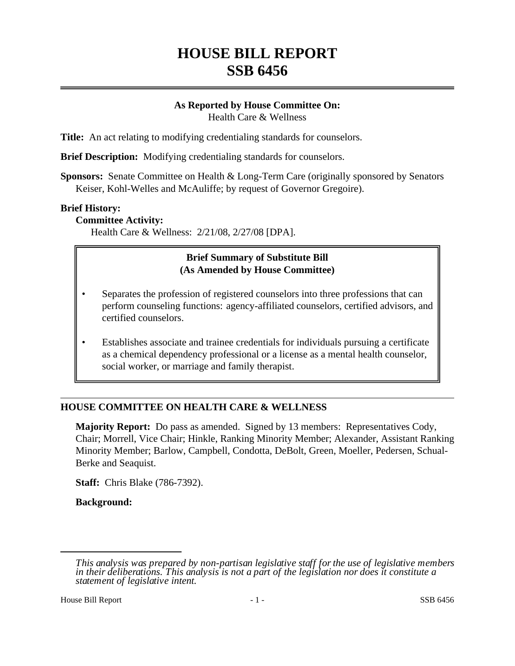# **HOUSE BILL REPORT SSB 6456**

## **As Reported by House Committee On:** Health Care & Wellness

**Title:** An act relating to modifying credentialing standards for counselors.

**Brief Description:** Modifying credentialing standards for counselors.

**Sponsors:** Senate Committee on Health & Long-Term Care (originally sponsored by Senators Keiser, Kohl-Welles and McAuliffe; by request of Governor Gregoire).

#### **Brief History:**

#### **Committee Activity:**

Health Care & Wellness: 2/21/08, 2/27/08 [DPA].

### **Brief Summary of Substitute Bill (As Amended by House Committee)**

- Separates the profession of registered counselors into three professions that can perform counseling functions: agency-affiliated counselors, certified advisors, and certified counselors.
- Establishes associate and trainee credentials for individuals pursuing a certificate as a chemical dependency professional or a license as a mental health counselor, social worker, or marriage and family therapist.

## **HOUSE COMMITTEE ON HEALTH CARE & WELLNESS**

**Majority Report:** Do pass as amended. Signed by 13 members: Representatives Cody, Chair; Morrell, Vice Chair; Hinkle, Ranking Minority Member; Alexander, Assistant Ranking Minority Member; Barlow, Campbell, Condotta, DeBolt, Green, Moeller, Pedersen, Schual-Berke and Seaquist.

**Staff:** Chris Blake (786-7392).

**Background:**

*This analysis was prepared by non-partisan legislative staff for the use of legislative members in their deliberations. This analysis is not a part of the legislation nor does it constitute a statement of legislative intent.*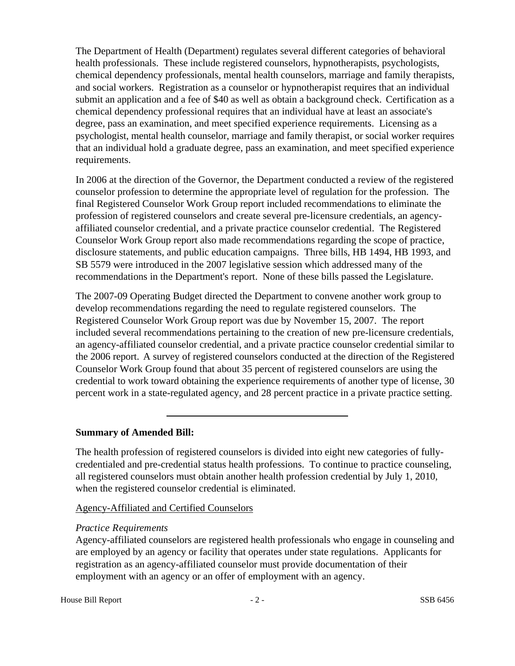The Department of Health (Department) regulates several different categories of behavioral health professionals. These include registered counselors, hypnotherapists, psychologists, chemical dependency professionals, mental health counselors, marriage and family therapists, and social workers. Registration as a counselor or hypnotherapist requires that an individual submit an application and a fee of \$40 as well as obtain a background check. Certification as a chemical dependency professional requires that an individual have at least an associate's degree, pass an examination, and meet specified experience requirements. Licensing as a psychologist, mental health counselor, marriage and family therapist, or social worker requires that an individual hold a graduate degree, pass an examination, and meet specified experience requirements.

In 2006 at the direction of the Governor, the Department conducted a review of the registered counselor profession to determine the appropriate level of regulation for the profession. The final Registered Counselor Work Group report included recommendations to eliminate the profession of registered counselors and create several pre-licensure credentials, an agencyaffiliated counselor credential, and a private practice counselor credential. The Registered Counselor Work Group report also made recommendations regarding the scope of practice, disclosure statements, and public education campaigns. Three bills, HB 1494, HB 1993, and SB 5579 were introduced in the 2007 legislative session which addressed many of the recommendations in the Department's report. None of these bills passed the Legislature.

The 2007-09 Operating Budget directed the Department to convene another work group to develop recommendations regarding the need to regulate registered counselors. The Registered Counselor Work Group report was due by November 15, 2007. The report included several recommendations pertaining to the creation of new pre-licensure credentials, an agency-affiliated counselor credential, and a private practice counselor credential similar to the 2006 report. A survey of registered counselors conducted at the direction of the Registered Counselor Work Group found that about 35 percent of registered counselors are using the credential to work toward obtaining the experience requirements of another type of license, 30 percent work in a state-regulated agency, and 28 percent practice in a private practice setting.

## **Summary of Amended Bill:**

The health profession of registered counselors is divided into eight new categories of fullycredentialed and pre-credential status health professions. To continue to practice counseling, all registered counselors must obtain another health profession credential by July 1, 2010, when the registered counselor credential is eliminated.

## Agency-Affiliated and Certified Counselors

#### *Practice Requirements*

Agency-affiliated counselors are registered health professionals who engage in counseling and are employed by an agency or facility that operates under state regulations. Applicants for registration as an agency-affiliated counselor must provide documentation of their employment with an agency or an offer of employment with an agency.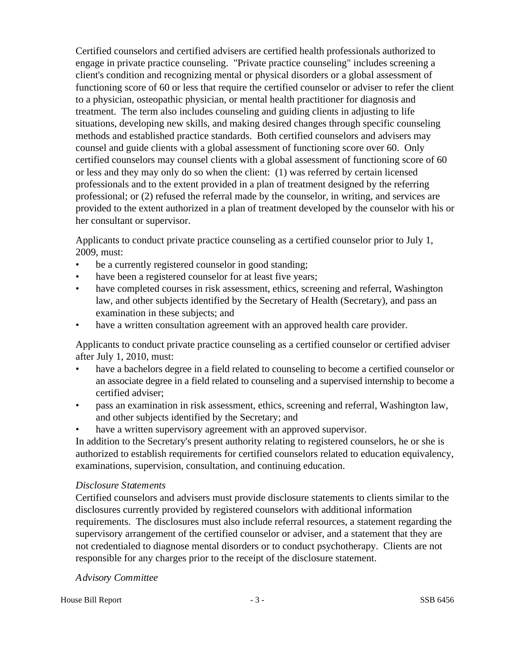Certified counselors and certified advisers are certified health professionals authorized to engage in private practice counseling. "Private practice counseling" includes screening a client's condition and recognizing mental or physical disorders or a global assessment of functioning score of 60 or less that require the certified counselor or adviser to refer the client to a physician, osteopathic physician, or mental health practitioner for diagnosis and treatment. The term also includes counseling and guiding clients in adjusting to life situations, developing new skills, and making desired changes through specific counseling methods and established practice standards. Both certified counselors and advisers may counsel and guide clients with a global assessment of functioning score over 60. Only certified counselors may counsel clients with a global assessment of functioning score of 60 or less and they may only do so when the client: (1) was referred by certain licensed professionals and to the extent provided in a plan of treatment designed by the referring professional; or (2) refused the referral made by the counselor, in writing, and services are provided to the extent authorized in a plan of treatment developed by the counselor with his or her consultant or supervisor.

Applicants to conduct private practice counseling as a certified counselor prior to July 1, 2009, must:

- be a currently registered counselor in good standing;
- have been a registered counselor for at least five years;
- have completed courses in risk assessment, ethics, screening and referral, Washington law, and other subjects identified by the Secretary of Health (Secretary), and pass an examination in these subjects; and
- have a written consultation agreement with an approved health care provider.

Applicants to conduct private practice counseling as a certified counselor or certified adviser after July 1, 2010, must:

- have a bachelors degree in a field related to counseling to become a certified counselor or an associate degree in a field related to counseling and a supervised internship to become a certified adviser;
- pass an examination in risk assessment, ethics, screening and referral, Washington law, and other subjects identified by the Secretary; and
- have a written supervisory agreement with an approved supervisor.

In addition to the Secretary's present authority relating to registered counselors, he or she is authorized to establish requirements for certified counselors related to education equivalency, examinations, supervision, consultation, and continuing education.

## *Disclosure Statements*

Certified counselors and advisers must provide disclosure statements to clients similar to the disclosures currently provided by registered counselors with additional information requirements. The disclosures must also include referral resources, a statement regarding the supervisory arrangement of the certified counselor or adviser, and a statement that they are not credentialed to diagnose mental disorders or to conduct psychotherapy. Clients are not responsible for any charges prior to the receipt of the disclosure statement.

## *Advisory Committee*

House Bill Report **All SCSB** 6456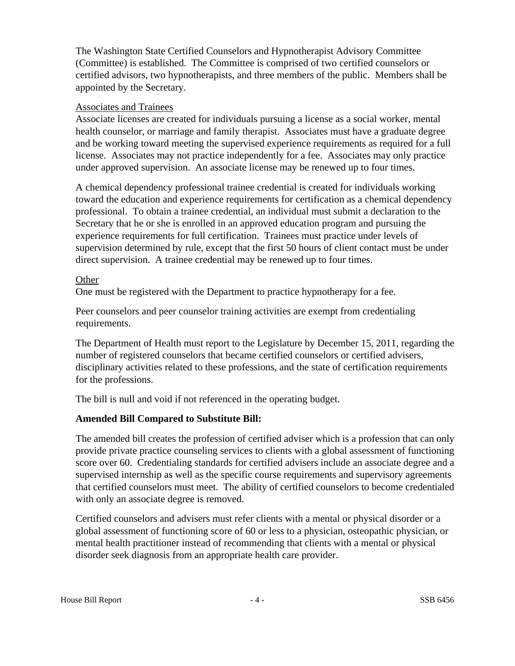The Washington State Certified Counselors and Hypnotherapist Advisory Committee (Committee) is established. The Committee is comprised of two certified counselors or certified advisors, two hypnotherapists, and three members of the public. Members shall be appointed by the Secretary.

## Associates and Trainees

Associate licenses are created for individuals pursuing a license as a social worker, mental health counselor, or marriage and family therapist. Associates must have a graduate degree and be working toward meeting the supervised experience requirements as required for a full license. Associates may not practice independently for a fee. Associates may only practice under approved supervision. An associate license may be renewed up to four times.

A chemical dependency professional trainee credential is created for individuals working toward the education and experience requirements for certification as a chemical dependency professional. To obtain a trainee credential, an individual must submit a declaration to the Secretary that he or she is enrolled in an approved education program and pursuing the experience requirements for full certification. Trainees must practice under levels of supervision determined by rule, except that the first 50 hours of client contact must be under direct supervision. A trainee credential may be renewed up to four times.

## Other

One must be registered with the Department to practice hypnotherapy for a fee.

Peer counselors and peer counselor training activities are exempt from credentialing requirements.

The Department of Health must report to the Legislature by December 15, 2011, regarding the number of registered counselors that became certified counselors or certified advisers, disciplinary activities related to these professions, and the state of certification requirements for the professions.

The bill is null and void if not referenced in the operating budget.

## **Amended Bill Compared to Substitute Bill:**

The amended bill creates the profession of certified adviser which is a profession that can only provide private practice counseling services to clients with a global assessment of functioning score over 60. Credentialing standards for certified advisers include an associate degree and a supervised internship as well as the specific course requirements and supervisory agreements that certified counselors must meet. The ability of certified counselors to become credentialed with only an associate degree is removed.

Certified counselors and advisers must refer clients with a mental or physical disorder or a global assessment of functioning score of 60 or less to a physician, osteopathic physician, or mental health practitioner instead of recommending that clients with a mental or physical disorder seek diagnosis from an appropriate health care provider.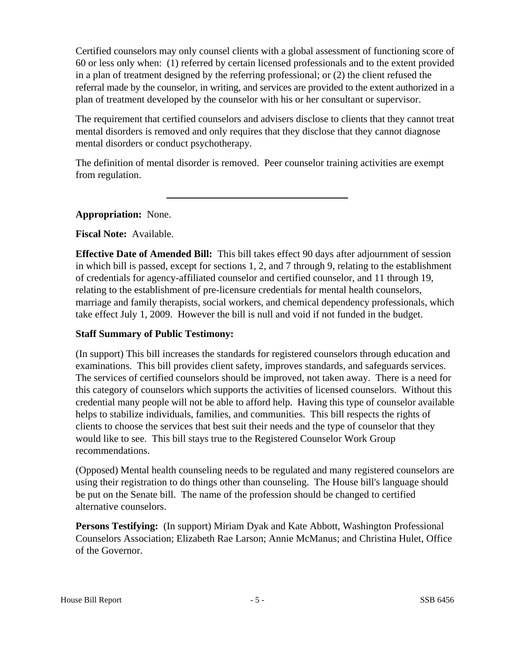Certified counselors may only counsel clients with a global assessment of functioning score of 60 or less only when: (1) referred by certain licensed professionals and to the extent provided in a plan of treatment designed by the referring professional; or (2) the client refused the referral made by the counselor, in writing, and services are provided to the extent authorized in a plan of treatment developed by the counselor with his or her consultant or supervisor.

The requirement that certified counselors and advisers disclose to clients that they cannot treat mental disorders is removed and only requires that they disclose that they cannot diagnose mental disorders or conduct psychotherapy.

The definition of mental disorder is removed. Peer counselor training activities are exempt from regulation.

# **Appropriation:** None.

**Fiscal Note:** Available.

**Effective Date of Amended Bill:** This bill takes effect 90 days after adjournment of session in which bill is passed, except for sections 1, 2, and 7 through 9, relating to the establishment of credentials for agency-affiliated counselor and certified counselor, and 11 through 19, relating to the establishment of pre-licensure credentials for mental health counselors, marriage and family therapists, social workers, and chemical dependency professionals, which take effect July 1, 2009. However the bill is null and void if not funded in the budget.

## **Staff Summary of Public Testimony:**

(In support) This bill increases the standards for registered counselors through education and examinations. This bill provides client safety, improves standards, and safeguards services. The services of certified counselors should be improved, not taken away. There is a need for this category of counselors which supports the activities of licensed counselors. Without this credential many people will not be able to afford help. Having this type of counselor available helps to stabilize individuals, families, and communities. This bill respects the rights of clients to choose the services that best suit their needs and the type of counselor that they would like to see. This bill stays true to the Registered Counselor Work Group recommendations.

(Opposed) Mental health counseling needs to be regulated and many registered counselors are using their registration to do things other than counseling. The House bill's language should be put on the Senate bill. The name of the profession should be changed to certified alternative counselors.

**Persons Testifying:** (In support) Miriam Dyak and Kate Abbott, Washington Professional Counselors Association; Elizabeth Rae Larson; Annie McManus; and Christina Hulet, Office of the Governor.